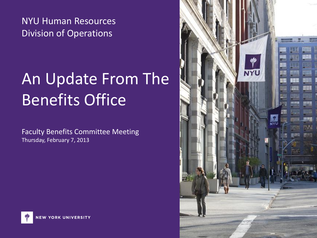NYU Human Resources Division of Operations

# An Update From The Benefits Office

Faculty Benefits Committee Meeting Thursday, February 7, 2013



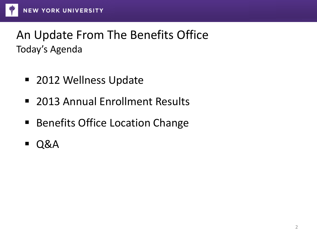#### An Update From The Benefits Office Today's Agenda

- 2012 Wellness Update
- **2013 Annual Enrollment Results**
- **Benefits Office Location Change**
- Q&A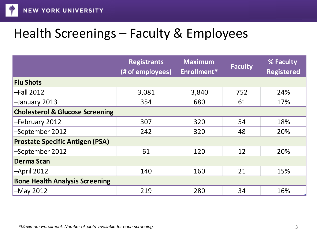

## Health Screenings – Faculty & Employees

|                                            | <b>Registrants</b><br>(# of employees) | <b>Maximum</b><br>Enrollment* | <b>Faculty</b> | % Faculty<br><b>Registered</b> |
|--------------------------------------------|----------------------------------------|-------------------------------|----------------|--------------------------------|
| <b>Flu Shots</b>                           |                                        |                               |                |                                |
| $-Fall 2012$                               | 3,081                                  | 3,840                         | 752            | 24%                            |
| -January 2013                              | 354                                    | 680                           | 61             | 17%                            |
| <b>Cholesterol &amp; Glucose Screening</b> |                                        |                               |                |                                |
| -February 2012                             | 307                                    | 320                           | 54             | 18%                            |
| -September 2012                            | 242                                    | 320                           | 48             | 20%                            |
| <b>Prostate Specific Antigen (PSA)</b>     |                                        |                               |                |                                |
| -September 2012                            | 61                                     | 120                           | 12             | 20%                            |
| <b>Derma Scan</b>                          |                                        |                               |                |                                |
| $-April$ 2012                              | 140                                    | 160                           | 21             | 15%                            |
| <b>Bone Health Analysis Screening</b>      |                                        |                               |                |                                |
| $-May 2012$                                | 219                                    | 280                           | 34             | 16%                            |
|                                            |                                        |                               |                |                                |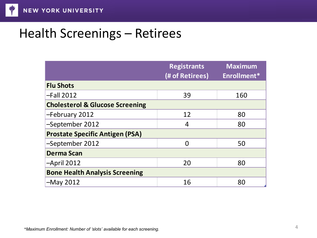## Health Screenings – Retirees

|                                            | <b>Registrants</b><br>(# of Retirees) | <b>Maximum</b><br>Enrollment* |
|--------------------------------------------|---------------------------------------|-------------------------------|
| <b>Flu Shots</b>                           |                                       |                               |
| $-Fall 2012$                               | 39                                    | 160                           |
| <b>Cholesterol &amp; Glucose Screening</b> |                                       |                               |
| -February 2012                             | 12                                    | 80                            |
| -September 2012                            | 4                                     | 80                            |
| <b>Prostate Specific Antigen (PSA)</b>     |                                       |                               |
| -September 2012                            | $\Omega$                              | 50                            |
| <b>Derma Scan</b>                          |                                       |                               |
| $-April$ 2012                              | 20                                    | 80                            |
| <b>Bone Health Analysis Screening</b>      |                                       |                               |
| $-May 2012$                                | 16                                    | 80                            |
|                                            |                                       |                               |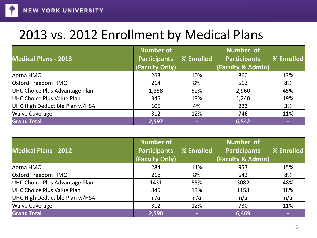

## 2013 vs. 2012 Enrollment by Medical Plans

| <b>Medical Plans - 2013</b>    | <b>Number of</b><br><b>Participants</b><br>(Faculty Only) | % Enrolled | <b>Number of</b><br><b>Participants</b><br>(Faculty & Admin) | % Enrolled |
|--------------------------------|-----------------------------------------------------------|------------|--------------------------------------------------------------|------------|
| Aetna HMO                      | 263                                                       | 10%        | 860                                                          | 13%        |
| Oxford Freedom HMO             | 214                                                       | 8%         | 513                                                          | 8%         |
| UHC Choice Plus Advantage Plan | 1,358                                                     | 52%        | 2,960                                                        | 45%        |
| UHC Choice Plus Value Plan     | 345                                                       | 13%        | 1,240                                                        | 19%        |
| UHC High Deductible Plan w/HSA | 105                                                       | 4%         | 223                                                          | 3%         |
| <b>Waive Coverage</b>          | 312                                                       | 12%        | 746                                                          | 11%        |
| <b>Grand Total</b>             | 2,597                                                     | ٠          | 6,542                                                        | $\sim$     |

| <b>Medical Plans - 2012</b>    | <b>Number of</b><br>Participants<br>(Faculty Only) | % Enrolled     | <b>Number of</b><br><b>Participants</b><br><b>(Faculty &amp; Admin)</b> | % Enrolled |
|--------------------------------|----------------------------------------------------|----------------|-------------------------------------------------------------------------|------------|
| Aetna HMO                      | 284                                                | 11%            | 957                                                                     | 15%        |
| Oxford Freedom HMO             | 218                                                | 8%             | 542                                                                     | 8%         |
| UHC Choice Plus Advantage Plan | 1431                                               | 55%            | 3082                                                                    | 48%        |
| UHC Choice Plus Value Plan     | 345                                                | 13%            | 1158                                                                    | 18%        |
| UHC High Deductible Plan w/HSA | n/a                                                | n/a            | n/a                                                                     | n/a        |
| <b>Waive Coverage</b>          | 312                                                | 12%            | 730                                                                     | 11%        |
| <b>Grand Total</b>             | 2,590                                              | $\blacksquare$ | 6,469                                                                   | $\sim$     |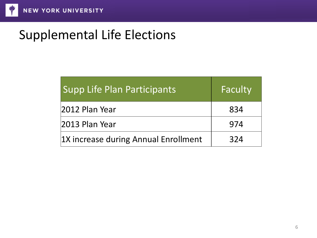## Supplemental Life Elections

| <b>Supp Life Plan Participants</b>   | Faculty |
|--------------------------------------|---------|
| 2012 Plan Year                       | 834     |
| 2013 Plan Year                       | 974     |
| 1X increase during Annual Enrollment | 324     |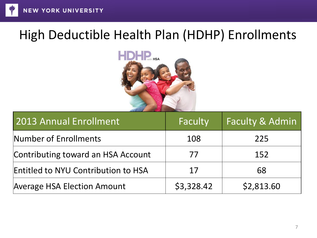#### High Deductible Health Plan (HDHP) Enrollments



| 2013 Annual Enrollment                     | Faculty    | <b>Faculty &amp; Admin</b> |
|--------------------------------------------|------------|----------------------------|
| Number of Enrollments                      | 108        | 225                        |
| Contributing toward an HSA Account         | 77         | 152                        |
| <b>Entitled to NYU Contribution to HSA</b> | 17         | 68                         |
| <b>Average HSA Election Amount</b>         | \$3,328.42 | \$2,813.60                 |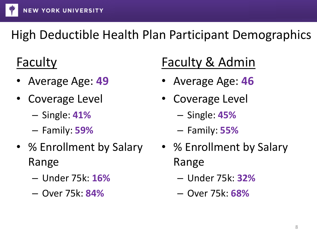

## High Deductible Health Plan Participant Demographics

## Faculty

- Average Age: **49**
- Coverage Level
	- Single: **41%**
	- Family: **59%**
- % Enrollment by Salary Range
	- Under 75k: **16%**
	- Over 75k: **84%**

## Faculty & Admin

- Average Age: **46**
- Coverage Level
	- Single: **45%**
	- Family: **55%**
- % Enrollment by Salary Range
	- Under 75k: **32%**
	- Over 75k: **68%**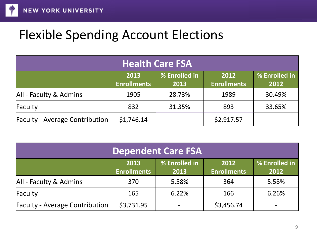

#### Flexible Spending Account Elections

| <b>Health Care FSA</b>                |                            |                       |                            |                       |
|---------------------------------------|----------------------------|-----------------------|----------------------------|-----------------------|
|                                       | 2013<br><b>Enrollments</b> | % Enrolled in<br>2013 | 2012<br><b>Enrollments</b> | % Enrolled in<br>2012 |
| All - Faculty & Admins                | 1905                       | 28.73%                | 1989                       | 30.49%                |
| Faculty                               | 832                        | 31.35%                | 893                        | 33.65%                |
| <b>Faculty - Average Contribution</b> | \$1,746.14                 |                       | \$2,917.57                 |                       |

| <b>Dependent Care FSA</b>             |                            |                       |                            |                       |
|---------------------------------------|----------------------------|-----------------------|----------------------------|-----------------------|
|                                       | 2013<br><b>Enrollments</b> | % Enrolled in<br>2013 | 2012<br><b>Enrollments</b> | % Enrolled in<br>2012 |
| All - Faculty & Admins                | 370                        | 5.58%                 | 364                        | 5.58%                 |
| Faculty                               | 165                        | 6.22%                 | 166                        | 6.26%                 |
| <b>Faculty - Average Contribution</b> | \$3,731.95                 |                       | \$3,456.74                 |                       |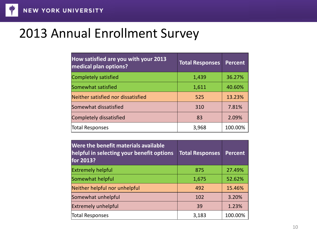#### 2013 Annual Enrollment Survey

| How satisfied are you with your 2013<br>medical plan options? | <b>Total Responses</b> | <b>Percent</b> |
|---------------------------------------------------------------|------------------------|----------------|
| Completely satisfied                                          | 1,439                  | 36.27%         |
| Somewhat satisfied                                            | 1,611                  | 40.60%         |
| Neither satisfied nor dissatisfied                            | 525                    | 13.23%         |
| Somewhat dissatisfied                                         | 310                    | 7.81%          |
| Completely dissatisfied                                       | 83                     | 2.09%          |
| <b>Total Responses</b>                                        | 3,968                  | 100.00%        |

| Were the benefit materials available<br>helpful in selecting your benefit options<br>for 2013? | <b>Total Responses</b> | <b>Percent</b> |
|------------------------------------------------------------------------------------------------|------------------------|----------------|
| <b>Extremely helpful</b>                                                                       | 875                    | 27.49%         |
| Somewhat helpful                                                                               | 1,675                  | 52.62%         |
| Neither helpful nor unhelpful                                                                  | 492                    | 15.46%         |
| Somewhat unhelpful                                                                             | 102                    | 3.20%          |
| <b>Extremely unhelpful</b>                                                                     | 39                     | 1.23%          |
| <b>Total Responses</b>                                                                         | 3,183                  | 100.00%        |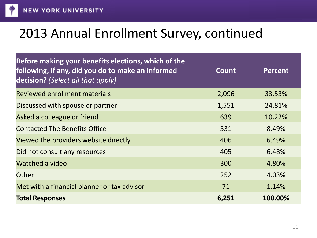

#### 2013 Annual Enrollment Survey, continued

| Before making your benefits elections, which of the<br>following, if any, did you do to make an informed<br>decision? (Select all that apply) | Count | <b>Percent</b> |
|-----------------------------------------------------------------------------------------------------------------------------------------------|-------|----------------|
| Reviewed enrollment materials                                                                                                                 | 2,096 | 33.53%         |
| Discussed with spouse or partner                                                                                                              | 1,551 | 24.81%         |
| Asked a colleague or friend                                                                                                                   | 639   | 10.22%         |
| <b>Contacted The Benefits Office</b>                                                                                                          | 531   | 8.49%          |
| Viewed the providers website directly                                                                                                         | 406   | 6.49%          |
| Did not consult any resources                                                                                                                 | 405   | 6.48%          |
| <b>Watched a video</b>                                                                                                                        | 300   | 4.80%          |
| <b>Other</b>                                                                                                                                  | 252   | 4.03%          |
| Met with a financial planner or tax advisor                                                                                                   | 71    | 1.14%          |
| <b>Total Responses</b>                                                                                                                        | 6,251 | 100.00%        |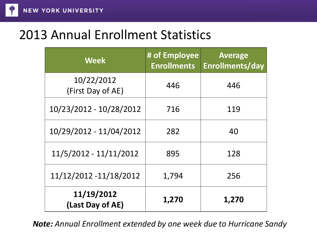

#### 2013 Annual Enrollment Statistics

| <b>Week</b>                     | # of Employee<br><b>Enrollments</b> | <b>Average</b><br>Enrollments/day |
|---------------------------------|-------------------------------------|-----------------------------------|
| 10/22/2012<br>(First Day of AE) | 446                                 | 446                               |
| 10/23/2012 - 10/28/2012         | 716                                 | 119                               |
| 10/29/2012 - 11/04/2012         | 282                                 | 40                                |
| 11/5/2012 - 11/11/2012          | 895                                 | 128                               |
| 11/12/2012 -11/18/2012          | 1,794                               | 256                               |
| 11/19/2012<br>(Last Day of AE)  | 1,270                               | 1,270                             |

*Note: Annual Enrollment extended by one week due to Hurricane Sandy*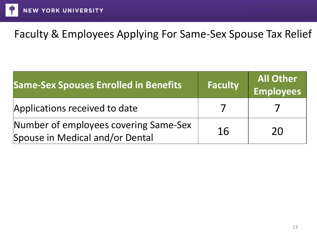

#### Faculty & Employees Applying For Same-Sex Spouse Tax Relief

| <b>Same-Sex Spouses Enrolled in Benefits</b>                             | <b>Faculty</b> | <b>All Other</b><br><b>Employees</b> |
|--------------------------------------------------------------------------|----------------|--------------------------------------|
| Applications received to date                                            |                |                                      |
| Number of employees covering Same-Sex<br>Spouse in Medical and/or Dental | 16             | 20                                   |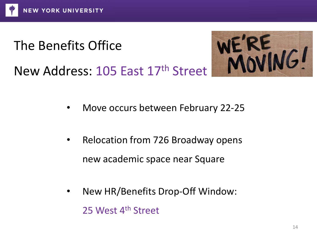## The Benefits Office



New Address: 105 East 17th Street

- Move occurs between February 22-25
- Relocation from 726 Broadway opens new academic space near Square
- New HR/Benefits Drop-Off Window: 25 West 4<sup>th</sup> Street